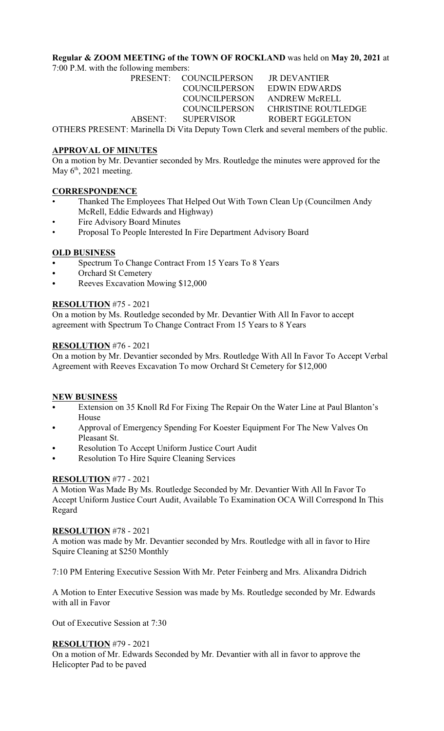# **Regular & ZOOM MEETING of the TOWN OF ROCKLAND** was held on **May 20, 2021** at

7:00 P.M. with the following members:

PRESENT: COUNCILPERSON JR DEVANTIER COUNCILPERSON EDWIN EDWARDS COUNCILPERSON ANDREW McRELL

 COUNCILPERSON CHRISTINE ROUTLEDGE ABSENT: SUPERVISOR ROBERT EGGLETON

OTHERS PRESENT: Marinella Di Vita Deputy Town Clerk and several members of the public.

# **APPROVAL OF MINUTES**

On a motion by Mr. Devantier seconded by Mrs. Routledge the minutes were approved for the May  $6<sup>th</sup>$ , 2021 meeting.

# **CORRESPONDENCE**

- Thanked The Employees That Helped Out With Town Clean Up (Councilmen Andy McRell, Eddie Edwards and Highway)
- Fire Advisory Board Minutes
- Proposal To People Interested In Fire Department Advisory Board

# **OLD BUSINESS**

- Spectrum To Change Contract From 15 Years To 8 Years
- Orchard St Cemetery
- Reeves Excavation Mowing \$12,000

# **RESOLUTION** #75 - 2021

On a motion by Ms. Routledge seconded by Mr. Devantier With All In Favor to accept agreement with Spectrum To Change Contract From 15 Years to 8 Years

# **RESOLUTION** #76 - 2021

On a motion by Mr. Devantier seconded by Mrs. Routledge With All In Favor To Accept Verbal Agreement with Reeves Excavation To mow Orchard St Cemetery for \$12,000

## **NEW BUSINESS**

- Extension on 35 Knoll Rd For Fixing The Repair On the Water Line at Paul Blanton's House
- Approval of Emergency Spending For Koester Equipment For The New Valves On Pleasant St.
- Resolution To Accept Uniform Justice Court Audit
- Resolution To Hire Squire Cleaning Services

# **RESOLUTION** #77 - 2021

A Motion Was Made By Ms. Routledge Seconded by Mr. Devantier With All In Favor To Accept Uniform Justice Court Audit, Available To Examination OCA Will Correspond In This Regard

## **RESOLUTION** #78 - 2021

A motion was made by Mr. Devantier seconded by Mrs. Routledge with all in favor to Hire Squire Cleaning at \$250 Monthly

7:10 PM Entering Executive Session With Mr. Peter Feinberg and Mrs. Alixandra Didrich

A Motion to Enter Executive Session was made by Ms. Routledge seconded by Mr. Edwards with all in Favor

Out of Executive Session at 7:30

## **RESOLUTION** #79 - 2021

On a motion of Mr. Edwards Seconded by Mr. Devantier with all in favor to approve the Helicopter Pad to be paved